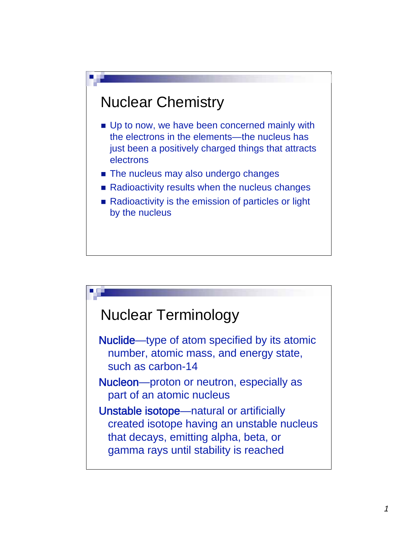# Nuclear Chemistry

- Up to now, we have been concerned mainly with the electrons in the elements—the nucleus has just been a positively charged things that attracts electrons
- The nucleus may also undergo changes
- Radioactivity results when the nucleus changes
- Radioactivity is the emission of particles or light by the nucleus

## Nuclear Terminology

Nuclide—type of atom specified by its atomic number, atomic mass, and energy state, such as carbon-14

Nucleon—proton or neutron, especially as part of an atomic nucleus

Unstable isotope—natural or artificially created isotope having an unstable nucleus that decays, emitting alpha, beta, or gamma rays until stability is reached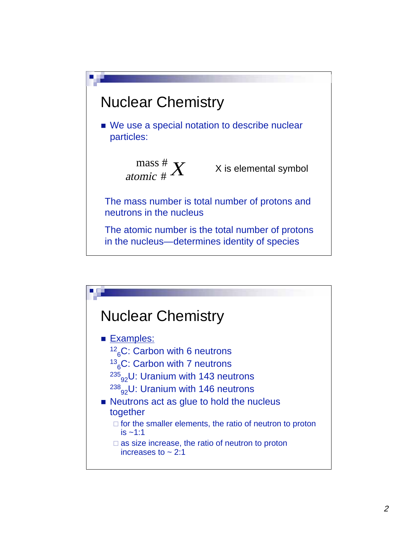

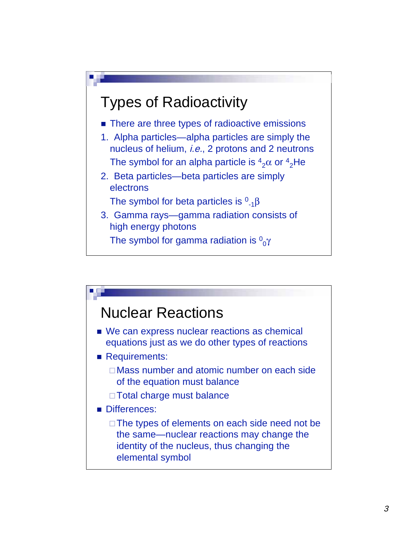

- There are three types of radioactive emissions
- 1. Alpha particles—alpha particles are simply the nucleus of helium, *i.e.*, 2 protons and 2 neutrons The symbol for an alpha particle is  $^4{}_{2}\alpha$  or  $^4{}_{2}$ He
- 2. Beta particles—beta particles are simply electrons

The symbol for beta particles is  ${}^{0}{}_{-1} \beta$ 

3. Gamma rays—gamma radiation consists of high energy photons

The symbol for gamma radiation is  ${}^{0}\!{}_{0}\gamma$ 

# Nuclear Reactions

- We can express nuclear reactions as chemical equations just as we do other types of reactions
- **Requirements:** 
	- □ Mass number and atomic number on each side of the equation must balance
	- □ Total charge must balance

#### Differences:

□ The types of elements on each side need not be the same—nuclear reactions may change the identity of the nucleus, thus changing the elemental symbol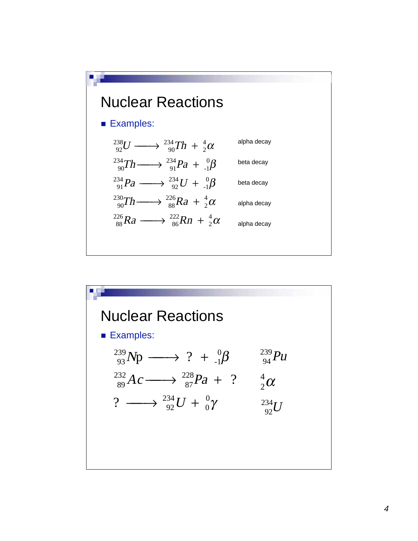

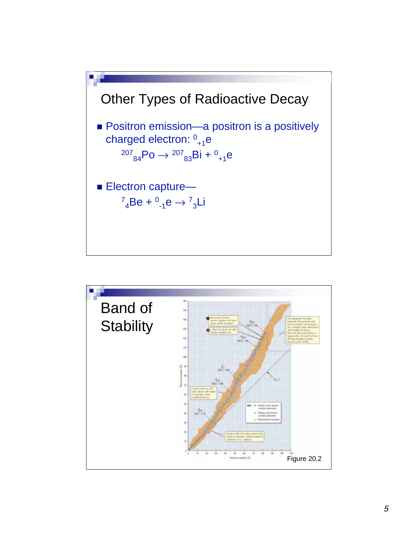

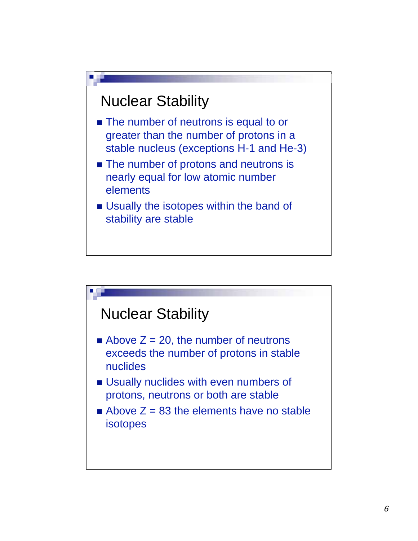

- The number of neutrons is equal to or greater than the number of protons in a stable nucleus (exceptions H-1 and He-3)
- The number of protons and neutrons is nearly equal for low atomic number elements
- **Usually the isotopes within the band of** stability are stable

### Nuclear Stability

- Above  $Z = 20$ , the number of neutrons exceeds the number of protons in stable nuclides
- **Usually nuclides with even numbers of** protons, neutrons or both are stable
- Above  $Z = 83$  the elements have no stable isotopes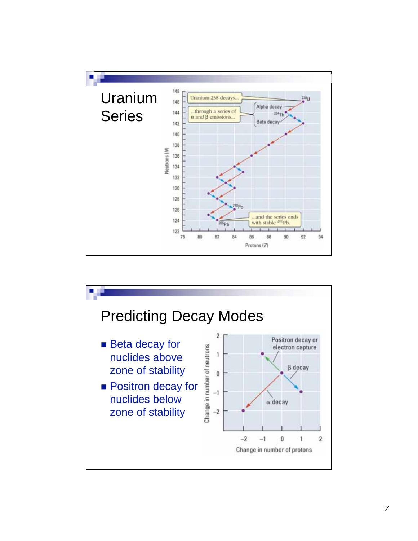

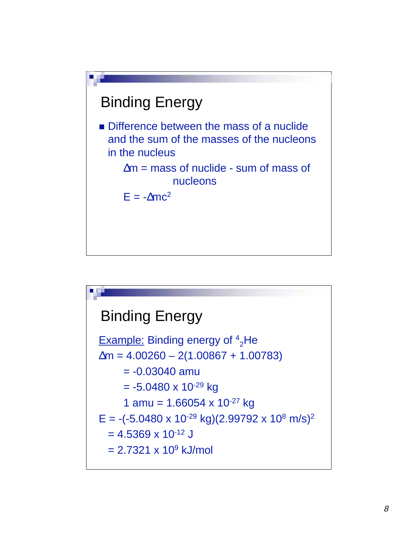

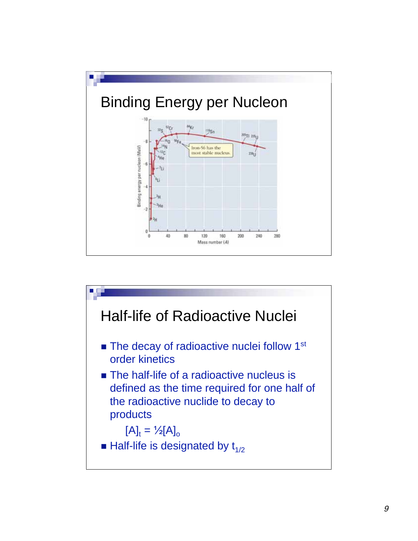

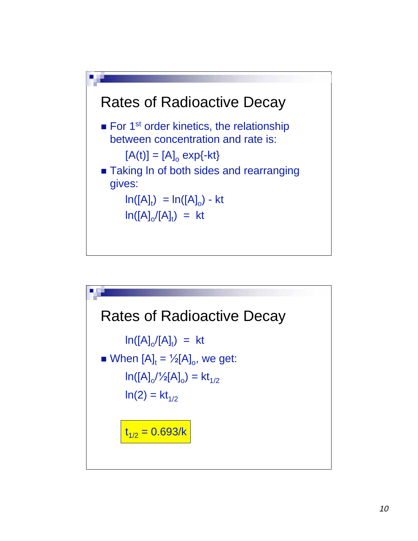

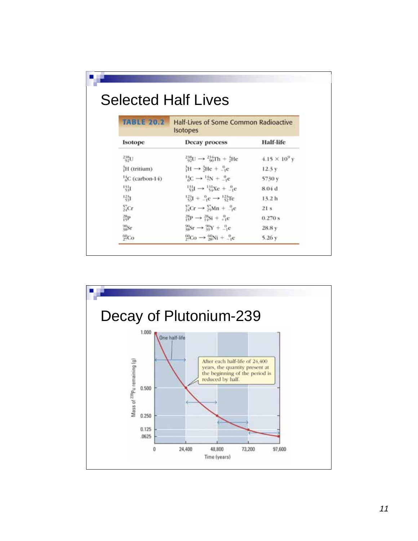W

| <b>TABLE 20.2</b><br>Half-Lives of Some Common Radioactive<br><b>Isotopes</b> |                                                                 |                        |  |
|-------------------------------------------------------------------------------|-----------------------------------------------------------------|------------------------|--|
| Isotope                                                                       | <b>Decay process</b>                                            | <b>Half-life</b>       |  |
| <sup>258</sup> U                                                              | $^{238}_{92}U \rightarrow ^{234}_{90}Th + ^{4}_{2}He$           | $4.15 \times 10^{9}$ y |  |
| H (tritium)                                                                   | ${}_{1}^{3}H \rightarrow {}_{2}^{3}He + {}_{-1}^{0}e$           | 12.3 y                 |  |
| <sup>14</sup> <sub>2</sub> C (carbon-14)                                      | ${}^{14}_{6}C \rightarrow {}^{14}N + {}^{0}_{-1}c$              | 5730 y                 |  |
| 퇣                                                                             | $\frac{111}{341} \rightarrow \frac{111}{34} Xc + \frac{0}{12}c$ | 8.04 d                 |  |
| 尉                                                                             | $^{123}_{53}I + ^{0}_{-1}e \rightarrow ^{123}_{52}Te$           | 13.2 h                 |  |
| XCr                                                                           | $^{57}_{24}Cr \rightarrow ^{57}_{25}Mn + ^{09}_{-1}c$           | 21s                    |  |
| 髀                                                                             | $^{28}_{15}P \rightarrow ^{28}_{14}Si + ^{0}_{14}e$             | 0.270 s                |  |
| %Sr                                                                           | ${}^{90}_{99}Sr \rightarrow {}^{90}_{99}Y + {}^{0}_{-1}c$       | 28.8 y                 |  |
| $^{60}_{27}Co$                                                                | $^{60}_{27}Co \rightarrow ^{60}_{28}Ni + ^{0}_{-1}c$            | 5.26y                  |  |

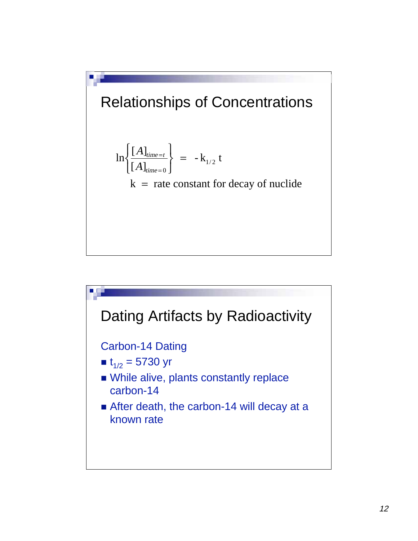

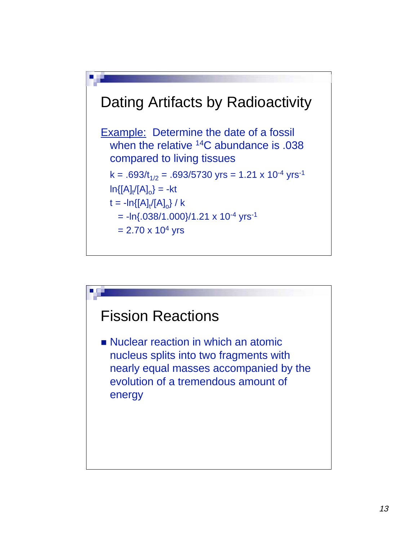

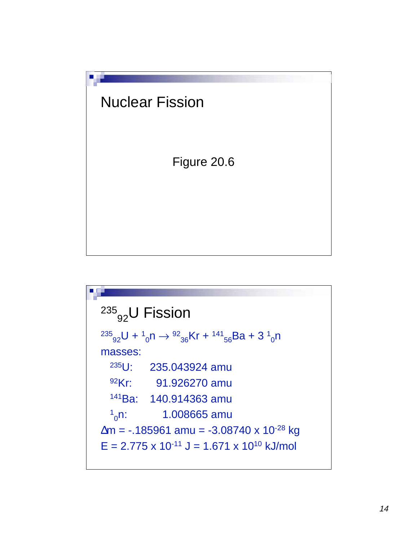

235<sub>92</sub>U Fission  
\n<sup>235</sup><sub>92</sub>U + <sup>1</sup><sub>0</sub>n 
$$
\rightarrow
$$
 <sup>92</sup><sub>36</sub>Kr + <sup>141</sup><sub>56</sub>Ba + 3 <sup>1</sup><sub>0</sub>n  
\nmasses:  
\n<sup>235</sup>U: 235.043924 amu  
\n<sup>92</sup>Kr: 91.926270 amu  
\n<sup>141</sup>Ba: 140.914363 amu  
\n<sup>1</sup><sub>0</sub>n: 1.008665 amu  
\n
$$
\Delta m = -.185961 amu = -3.08740 \times 10^{-28} kg
$$
\nE = 2.775 x 10<sup>-11</sup> J = 1.671 x 10<sup>10</sup> kJ/mol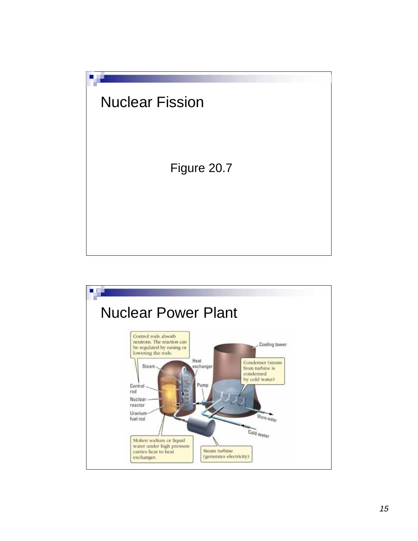

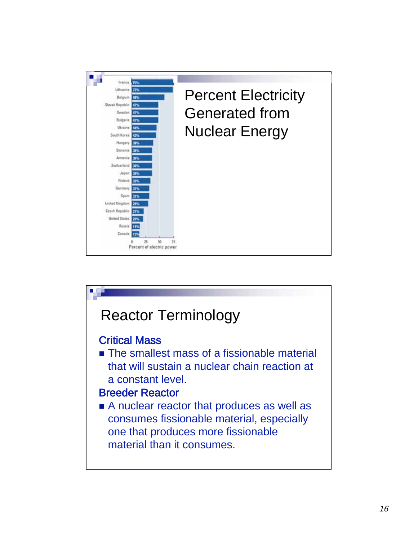

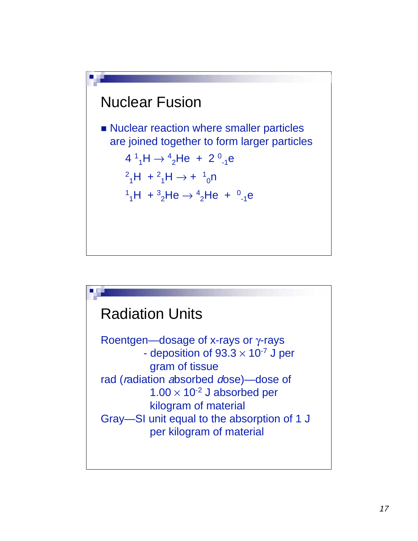

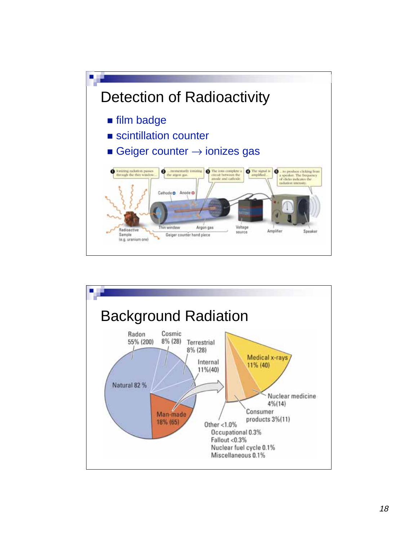

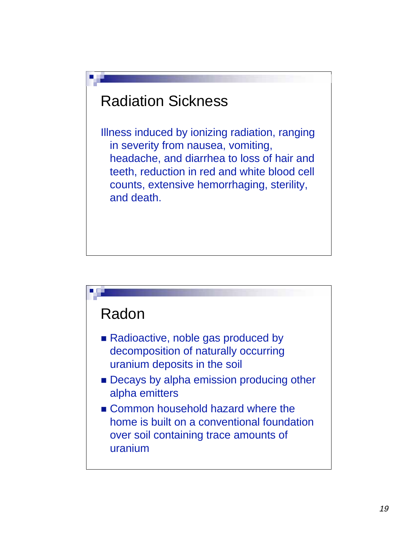# Radiation Sickness

Illness induced by ionizing radiation, ranging in severity from nausea, vomiting, headache, and diarrhea to loss of hair and teeth, reduction in red and white blood cell counts, extensive hemorrhaging, sterility, and death.

# Radon

- Radioactive, noble gas produced by decomposition of naturally occurring uranium deposits in the soil
- **Decays by alpha emission producing other** alpha emitters
- Common household hazard where the home is built on a conventional foundation over soil containing trace amounts of uranium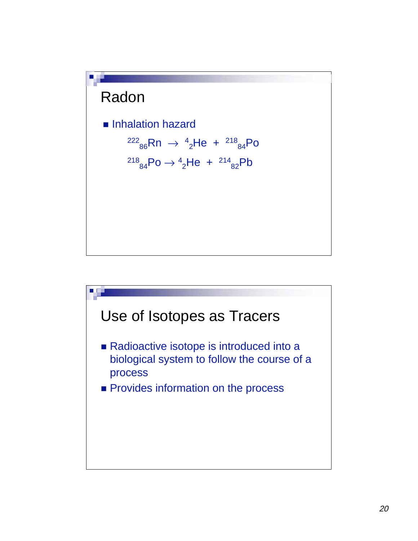# Radon

- **Inhalation hazard** 
	- $^{222}$ <sub>86</sub>Rn →  $^{4}$ <sub>2</sub>He +  $^{218}$ <sub>84</sub>Po
	- $^{218}$ <sub>84</sub>Po  $\rightarrow$   $^{4}$ <sub>2</sub>He +  $^{214}$ <sub>82</sub>Pb